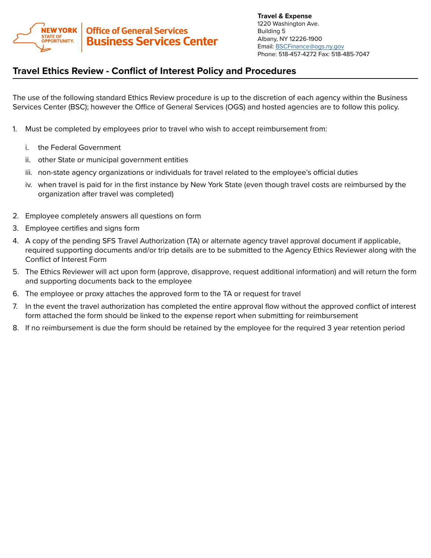

**Travel & Expense** 1220 Washington Ave. Building 5 Albany, NY 12226-1900 Email: [BSCFinance@ogs.ny.gov](mailto:BSCFinance%40ogs.ny.gov?subject=) Phone: 518-457-4272 Fax: 518-485-7047

## **Travel Ethics Review - Conflict of Interest Policy and Procedures**

The use of the following standard Ethics Review procedure is up to the discretion of each agency within the Business Services Center (BSC); however the Office of General Services (OGS) and hosted agencies are to follow this policy.

- 1. Must be completed by employees prior to travel who wish to accept reimbursement from:
	- i. the Federal Government
	- ii. other State or municipal government entities
	- iii. non-state agency organizations or individuals for travel related to the employee's official duties
	- iv. when travel is paid for in the first instance by New York State (even though travel costs are reimbursed by the organization after travel was completed)
- 2. Employee completely answers all questions on form
- 3. Employee certifies and signs form
- 4. A copy of the pending SFS Travel Authorization (TA) or alternate agency travel approval document if applicable, required supporting documents and/or trip details are to be submitted to the Agency Ethics Reviewer along with the Conflict of Interest Form
- 5. The Ethics Reviewer will act upon form (approve, disapprove, request additional information) and will return the form and supporting documents back to the employee
- 6. The employee or proxy attaches the approved form to the TA or request for travel
- 7. In the event the travel authorization has completed the entire approval flow without the approved conflict of interest form attached the form should be linked to the expense report when submitting for reimbursement
- 8. If no reimbursement is due the form should be retained by the employee for the required 3 year retention period